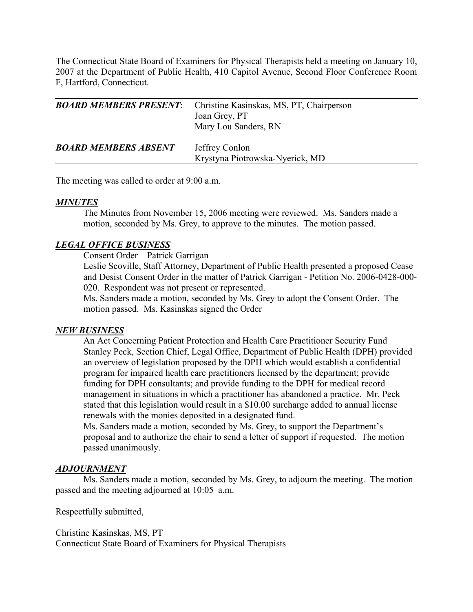The Connecticut State Board of Examiners for Physical Therapists held a meeting on January 10, 2007 at the Department of Public Health, 410 Capitol Avenue, Second Floor Conference Room F, Hartford, Connecticut.

| <b>BOARD MEMBERS PRESENT:</b> | Christine Kasinskas, MS, PT, Chairperson<br>Joan Grey, PT<br>Mary Lou Sanders, RN |
|-------------------------------|-----------------------------------------------------------------------------------|
| <b>BOARD MEMBERS ABSENT</b>   | Jeffrey Conlon<br>Krystyna Piotrowska-Nyerick, MD                                 |

The meeting was called to order at 9:00 a.m.

### *MINUTES*

 The Minutes from November 15, 2006 meeting were reviewed. Ms. Sanders made a motion, seconded by Ms. Grey, to approve to the minutes. The motion passed.

## *LEGAL OFFICE BUSINESS*

Consent Order – Patrick Garrigan

 Leslie Scoville, Staff Attorney, Department of Public Health presented a proposed Cease and Desist Consent Order in the matter of Patrick Garrigan - Petition No. 2006-0428-000- 020. Respondent was not present or represented.

 Ms. Sanders made a motion, seconded by Ms. Grey to adopt the Consent Order. The motion passed. Ms. Kasinskas signed the Order

#### *NEW BUSINESS*

 An Act Concerning Patient Protection and Health Care Practitioner Security Fund Stanley Peck, Section Chief, Legal Office, Department of Public Health (DPH) provided an overview of legislation proposed by the DPH which would establish a confidential program for impaired health care practitioners licensed by the department; provide funding for DPH consultants; and provide funding to the DPH for medical record management in situations in which a practitioner has abandoned a practice. Mr. Peck stated that this legislation would result in a \$10.00 surcharge added to annual license renewals with the monies deposited in a designated fund.

 Ms. Sanders made a motion, seconded by Ms. Grey, to support the Department's proposal and to authorize the chair to send a letter of support if requested. The motion passed unanimously.

#### *ADJOURNMENT*

 Ms. Sanders made a motion, seconded by Ms. Grey, to adjourn the meeting. The motion passed and the meeting adjourned at 10:05 a.m.

Respectfully submitted,

Christine Kasinskas, MS, PT Connecticut State Board of Examiners for Physical Therapists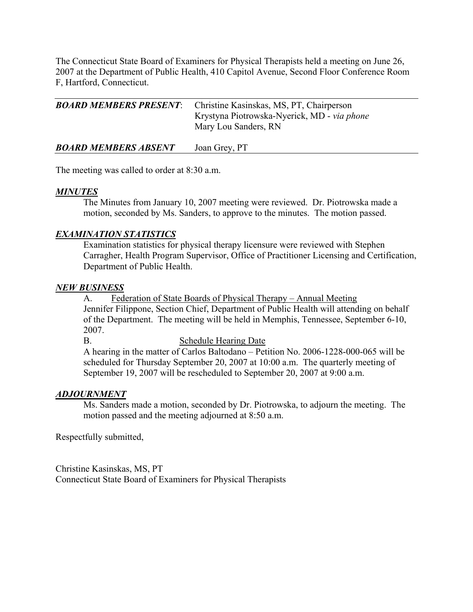The Connecticut State Board of Examiners for Physical Therapists held a meeting on June 26, 2007 at the Department of Public Health, 410 Capitol Avenue, Second Floor Conference Room F, Hartford, Connecticut.

| <b>BOARD MEMBERS PRESENT:</b> Christine Kasinskas, MS, PT, Chairperson |
|------------------------------------------------------------------------|
| Krystyna Piotrowska-Nyerick, MD - via phone<br>Mary Lou Sanders, RN    |
|                                                                        |

*BOARD MEMBERS ABSENT* Joan Grey, PT

The meeting was called to order at 8:30 a.m.

## *MINUTES*

 The Minutes from January 10, 2007 meeting were reviewed. Dr. Piotrowska made a motion, seconded by Ms. Sanders, to approve to the minutes. The motion passed.

# *EXAMINATION STATISTICS*

 Examination statistics for physical therapy licensure were reviewed with Stephen Carragher, Health Program Supervisor, Office of Practitioner Licensing and Certification, Department of Public Health.

## *NEW BUSINESS*

 A. Federation of State Boards of Physical Therapy – Annual Meeting Jennifer Filippone, Section Chief, Department of Public Health will attending on behalf of the Department. The meeting will be held in Memphis, Tennessee, September 6-10, 2007.

#### B. Schedule Hearing Date

A hearing in the matter of Carlos Baltodano – Petition No. 2006-1228-000-065 will be scheduled for Thursday September 20, 2007 at 10:00 a.m. The quarterly meeting of September 19, 2007 will be rescheduled to September 20, 2007 at 9:00 a.m.

## *ADJOURNMENT*

 Ms. Sanders made a motion, seconded by Dr. Piotrowska, to adjourn the meeting. The motion passed and the meeting adjourned at 8:50 a.m.

Respectfully submitted,

Christine Kasinskas, MS, PT Connecticut State Board of Examiners for Physical Therapists